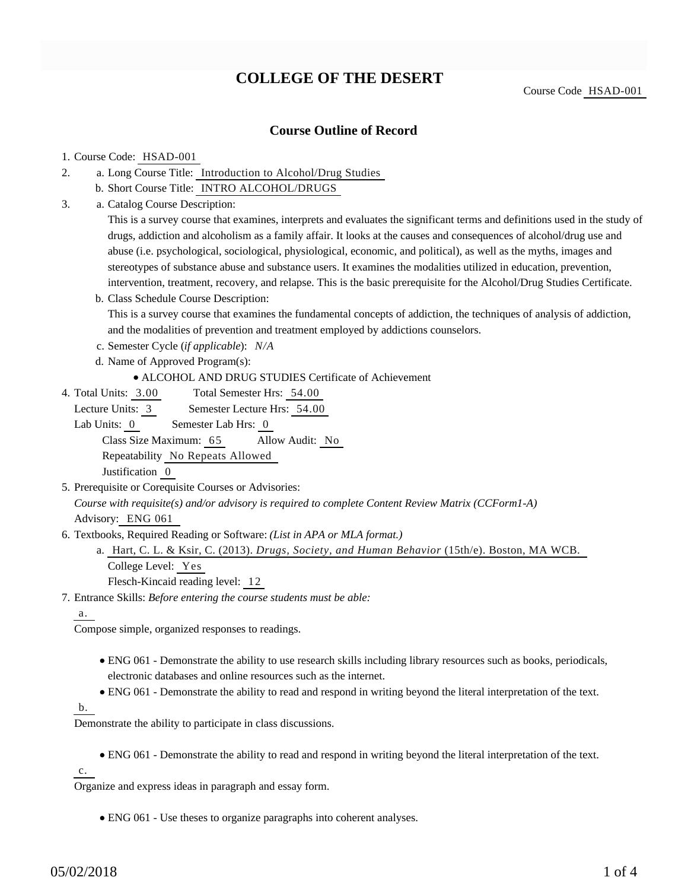# **COLLEGE OF THE DESERT**

Course Code HSAD-001

## **Course Outline of Record**

#### 1. Course Code: HSAD-001

- a. Long Course Title: Introduction to Alcohol/Drug Studies 2.
	- b. Short Course Title: INTRO ALCOHOL/DRUGS
- Catalog Course Description: a. 3.

This is a survey course that examines, interprets and evaluates the significant terms and definitions used in the study of drugs, addiction and alcoholism as a family affair. It looks at the causes and consequences of alcohol/drug use and abuse (i.e. psychological, sociological, physiological, economic, and political), as well as the myths, images and stereotypes of substance abuse and substance users. It examines the modalities utilized in education, prevention, intervention, treatment, recovery, and relapse. This is the basic prerequisite for the Alcohol/Drug Studies Certificate.

b. Class Schedule Course Description:

This is a survey course that examines the fundamental concepts of addiction, the techniques of analysis of addiction, and the modalities of prevention and treatment employed by addictions counselors.

c. Semester Cycle (*if applicable*): *N/A*

- d. Name of Approved Program(s):
	- ALCOHOL AND DRUG STUDIES Certificate of Achievement
- Total Semester Hrs: 54.00 4. Total Units: 3.00

Lecture Units: 3 Semester Lecture Hrs: 54.00

Lab Units: 0 Semester Lab Hrs: 0 Class Size Maximum: 65 Allow Audit: No

Repeatability No Repeats Allowed

Justification 0

- 5. Prerequisite or Corequisite Courses or Advisories: *Course with requisite(s) and/or advisory is required to complete Content Review Matrix (CCForm1-A)* Advisory: ENG 061
- 6. Textbooks, Required Reading or Software: (List in APA or MLA format.)
	- a. Hart, C. L. & Ksir, C. (2013). *Drugs, Society, and Human Behavior* (15th/e). Boston, MA WCB. College Level: Yes

Flesch-Kincaid reading level: 12

Entrance Skills: *Before entering the course students must be able:* 7.

a.

Compose simple, organized responses to readings.

- ENG 061 Demonstrate the ability to use research skills including library resources such as books, periodicals, electronic databases and online resources such as the internet.
- ENG 061 Demonstrate the ability to read and respond in writing beyond the literal interpretation of the text.

b.

Demonstrate the ability to participate in class discussions.

ENG 061 - Demonstrate the ability to read and respond in writing beyond the literal interpretation of the text.

c.

Organize and express ideas in paragraph and essay form.

ENG 061 - Use theses to organize paragraphs into coherent analyses.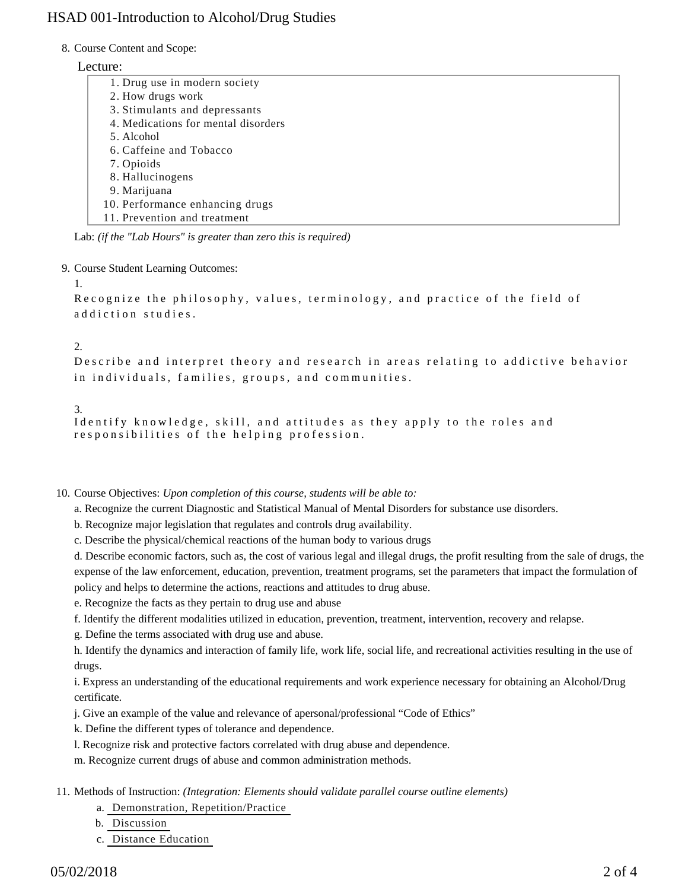# HSAD 001-Introduction to Alcohol/Drug Studies

#### 8. Course Content and Scope:

#### Lecture:

| 1. Drug use in modern society       |  |
|-------------------------------------|--|
| 2. How drugs work                   |  |
| 3. Stimulants and depressants       |  |
| 4. Medications for mental disorders |  |
| 5. Alcohol                          |  |
| 6. Caffeine and Tobacco             |  |
| 7. Opioids                          |  |
| 8. Hallucinogens                    |  |
| 9. Marijuana                        |  |
| 10. Performance enhancing drugs     |  |
| 11. Prevention and treatment        |  |
|                                     |  |

Lab: *(if the "Lab Hours" is greater than zero this is required)*

9. Course Student Learning Outcomes:

1.

Recognize the philosophy, values, terminology, and practice of the field of addiction studies.

### 2.

Describe and interpret theory and research in areas relating to addictive behavior in individuals, families, groups, and communities.

3.

```
Identify knowledge, skill, and attitudes as they apply to the roles and
responsibilities of the helping profession.
```
10. Course Objectives: Upon completion of this course, students will be able to:

a. Recognize the current Diagnostic and Statistical Manual of Mental Disorders for substance use disorders.

b. Recognize major legislation that regulates and controls drug availability.

c. Describe the physical/chemical reactions of the human body to various drugs

d. Describe economic factors, such as, the cost of various legal and illegal drugs, the profit resulting from the sale of drugs, the expense of the law enforcement, education, prevention, treatment programs, set the parameters that impact the formulation of policy and helps to determine the actions, reactions and attitudes to drug abuse.

e. Recognize the facts as they pertain to drug use and abuse

f. Identify the different modalities utilized in education, prevention, treatment, intervention, recovery and relapse.

g. Define the terms associated with drug use and abuse.

h. Identify the dynamics and interaction of family life, work life, social life, and recreational activities resulting in the use of drugs.

i. Express an understanding of the educational requirements and work experience necessary for obtaining an Alcohol/Drug certificate.

j. Give an example of the value and relevance of apersonal/professional "Code of Ethics"

k. Define the different types of tolerance and dependence.

l. Recognize risk and protective factors correlated with drug abuse and dependence.

m. Recognize current drugs of abuse and common administration methods.

11. Methods of Instruction: *(Integration: Elements should validate parallel course outline elements)* 

- a. Demonstration, Repetition/Practice
- b. Discussion
- c. Distance Education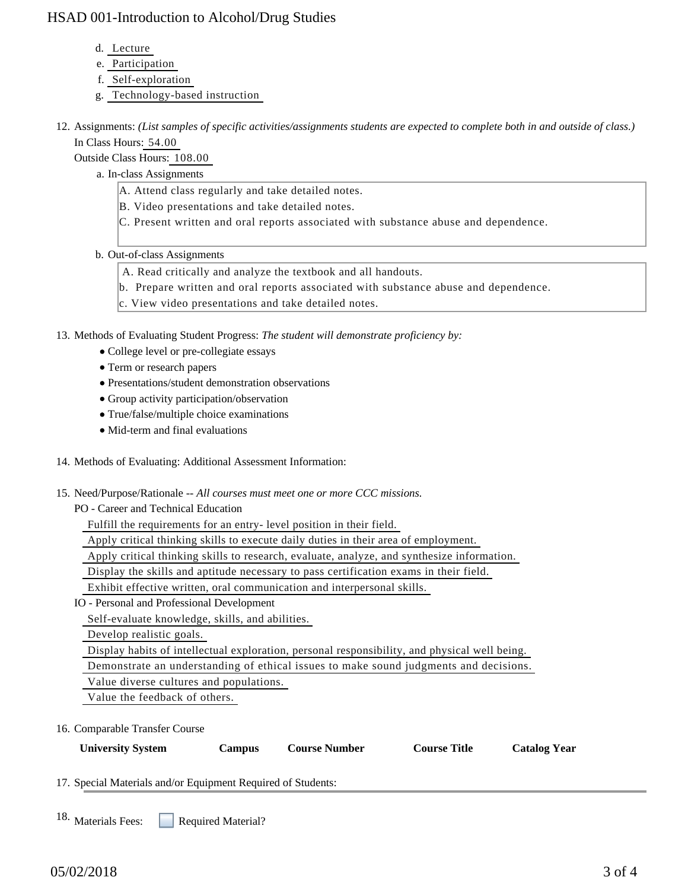# HSAD 001-Introduction to Alcohol/Drug Studies

- d. Lecture
- e. Participation
- f. Self-exploration
- g. Technology-based instruction
- 12. Assignments: (List samples of specific activities/assignments students are expected to complete both in and outside of class.) In Class Hours: 54.00

Outside Class Hours: 108.00

- a. In-class Assignments
	- A. Attend class regularly and take detailed notes.
	- B. Video presentations and take detailed notes.
	- C. Present written and oral reports associated with substance abuse and dependence.
- b. Out-of-class Assignments
	- A. Read critically and analyze the textbook and all handouts.
	- b. Prepare written and oral reports associated with substance abuse and dependence.
	- c. View video presentations and take detailed notes.

13. Methods of Evaluating Student Progress: The student will demonstrate proficiency by:

- College level or pre-collegiate essays
- Term or research papers
- Presentations/student demonstration observations
- Group activity participation/observation
- True/false/multiple choice examinations
- Mid-term and final evaluations
- 14. Methods of Evaluating: Additional Assessment Information:
- 15. Need/Purpose/Rationale -- All courses must meet one or more CCC missions.
	- PO Career and Technical Education

Fulfill the requirements for an entry- level position in their field.

Apply critical thinking skills to execute daily duties in their area of employment.

Apply critical thinking skills to research, evaluate, analyze, and synthesize information.

Display the skills and aptitude necessary to pass certification exams in their field.

Exhibit effective written, oral communication and interpersonal skills.

IO - Personal and Professional Development

Self-evaluate knowledge, skills, and abilities.

Develop realistic goals.

Display habits of intellectual exploration, personal responsibility, and physical well being.

Demonstrate an understanding of ethical issues to make sound judgments and decisions.

Value diverse cultures and populations.

Value the feedback of others.

16. Comparable Transfer Course

| <b>University System</b> | Campus | <b>Course Number</b> | <b>Course Title</b> | <b>Catalog Year</b> |
|--------------------------|--------|----------------------|---------------------|---------------------|
|                          |        |                      |                     |                     |

17. Special Materials and/or Equipment Required of Students:

Required Material? 18. Materials Fees: